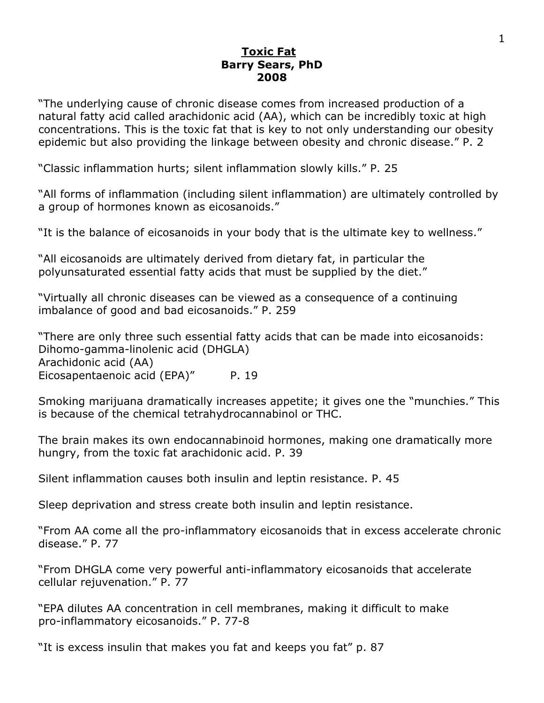## <u>Toxic Fat</u><br>Barry Sears, PhD **2008 2008**

"The underlying cause of chronic disease comes from increased production of a natural fatty acid called arachidonic acid (AA), which can be incredibly toxic at high concentrations. This is the toxic fat that is key to not only understanding our obesity epidemic but also providing the linkage between obesity and chronic disease." P. 2

"Classic inflammation hurts; silent inflammation slowly kills." P. 25

"All forms of inflammation (including silent inflammation) are ultimately controlled by a group of hormones known as eicosanoids."

"It is the balance of eicosanoids in your body that is the ultimate key to wellness."

"All eicosanoids are ultimately derived from dietary fat, in particular the polyunsaturated essential fatty acids that must be supplied by the diet."

"Virtually all chronic diseases can be viewed as a consequence of a continuing imbalance of good and bad eicosanoids." P. 259

"There are only three such essential fatty acids that can be made into eicosanoids: Dihomo-gamma-linolenic acid (DHGLA) Arachidonic acid (AA) Eicosapentaenoic acid (EPA)" P. 19

Smoking marijuana dramatically increases appetite; it gives one the "munchies." This is because of the chemical tetrahydrocannabinol or THC.

The brain makes its own endocannabinoid hormones, making one dramatically more hungry, from the toxic fat arachidonic acid. P. 39

Silent inflammation causes both insulin and leptin resistance. P. 45

Sleep deprivation and stress create both insulin and leptin resistance.

"From AA come all the pro-inflammatory eicosanoids that in excess accelerate chronic disease." P. 77

"From DHGLA come very powerful anti-inflammatory eicosanoids that accelerate cellular rejuvenation." P. 77

"EPA dilutes AA concentration in cell membranes, making it difficult to make pro-inflammatory eicosanoids." P. 77-8

"It is excess insulin that makes you fat and keeps you fat" p. 87